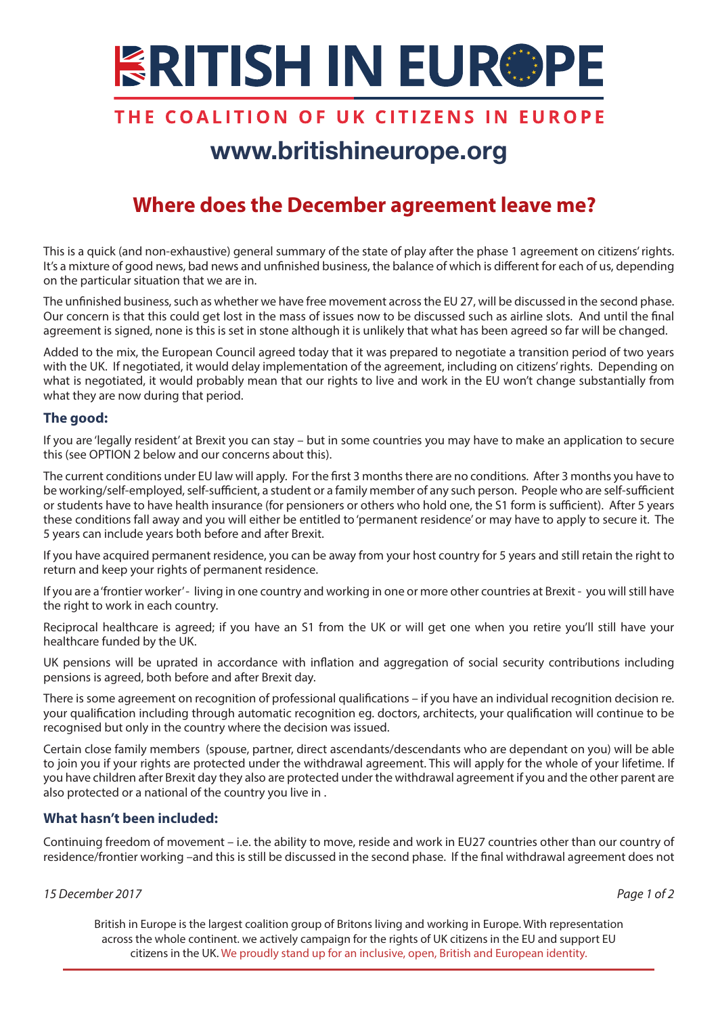# **ERITISH IN EUR®PE**

### THE COALITION OF UK CITIZENS IN EUROPE

## www.britishineurope.org

### **Where does the December agreement leave me?**

This is a quick (and non-exhaustive) general summary of the state of play after the phase 1 agreement on citizens' rights. It's a mixture of good news, bad news and unfinished business, the balance of which is different for each of us, depending on the particular situation that we are in.

The unfinished business, such as whether we have free movement across the EU 27, will be discussed in the second phase. Our concern is that this could get lost in the mass of issues now to be discussed such as airline slots. And until the final agreement is signed, none is this is set in stone although it is unlikely that what has been agreed so far will be changed.

Added to the mix, the European Council agreed today that it was prepared to negotiate a transition period of two years with the UK. If negotiated, it would delay implementation of the agreement, including on citizens' rights. Depending on what is negotiated, it would probably mean that our rights to live and work in the EU won't change substantially from what they are now during that period.

### **The good:**

If you are 'legally resident' at Brexit you can stay – but in some countries you may have to make an application to secure this (see OPTION 2 below and our concerns about this).

The current conditions under EU law will apply. For the first 3 months there are no conditions. After 3 months you have to be working/self-employed, self-sufficient, a student or a family member of any such person. People who are self-sufficient or students have to have health insurance (for pensioners or others who hold one, the S1 form is sufficient). After 5 years these conditions fall away and you will either be entitled to 'permanent residence' or may have to apply to secure it. The 5 years can include years both before and after Brexit.

If you have acquired permanent residence, you can be away from your host country for 5 years and still retain the right to return and keep your rights of permanent residence.

If you are a 'frontier worker' - living in one country and working in one or more other countries at Brexit - you will still have the right to work in each country.

Reciprocal healthcare is agreed; if you have an S1 from the UK or will get one when you retire you'll still have your healthcare funded by the UK.

UK pensions will be uprated in accordance with inflation and aggregation of social security contributions including pensions is agreed, both before and after Brexit day.

There is some agreement on recognition of professional qualifications – if you have an individual recognition decision re. your qualification including through automatic recognition eg. doctors, architects, your qualification will continue to be recognised but only in the country where the decision was issued.

Certain close family members (spouse, partner, direct ascendants/descendants who are dependant on you) will be able to join you if your rights are protected under the withdrawal agreement. This will apply for the whole of your lifetime. If you have children after Brexit day they also are protected under the withdrawal agreement if you and the other parent are also protected or a national of the country you live in .

### **What hasn't been included:**

Continuing freedom of movement – i.e. the ability to move, reside and work in EU27 countries other than our country of residence/frontier working –and this is still be discussed in the second phase. If the final withdrawal agreement does not

#### *15 December 2017 Page 1 of 2*

British in Europe is the largest coalition group of Britons living and working in Europe. With representation across the whole continent. we actively campaign for the rights of UK citizens in the EU and support EU citizens in the UK. We proudly stand up for an inclusive, open, British and European identity.